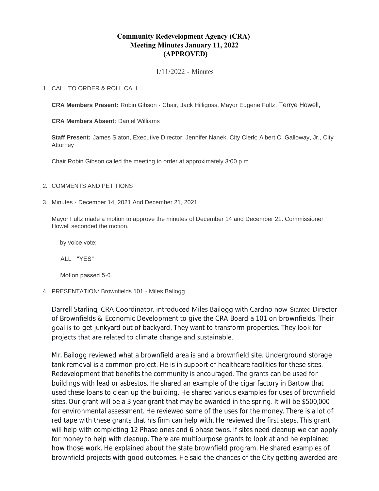# **Community Redevelopment Agency (CRA) Meeting Minutes January 11, 2022 (APPROVED)**

1/11/2022 - Minutes

## CALL TO ORDER & ROLL CALL 1.

**CRA Members Present:** Robin Gibson - Chair, Jack Hilligoss, Mayor Eugene Fultz, Terrye Howell,

**CRA Members Absent**: Daniel Williams

**Staff Present:** James Slaton, Executive Director; Jennifer Nanek, City Clerk; Albert C. Galloway, Jr., City Attorney

Chair Robin Gibson called the meeting to order at approximately 3:00 p.m.

## 2. COMMENTS AND PETITIONS

Minutes - December 14, 2021 And December 21, 2021 3.

Mayor Fultz made a motion to approve the minutes of December 14 and December 21. Commissioner Howell seconded the motion.

by voice vote:

ALL "YES"

Motion passed 5-0.

PRESENTATION: Brownfields 101 - Miles Ballogg 4.

Darrell Starling, CRA Coordinator, introduced Miles Bailogg with Cardno now Stantec Director of Brownfields & Economic Development to give the CRA Board a 101 on brownfields. Their goal is to get junkyard out of backyard. They want to transform properties. They look for projects that are related to climate change and sustainable.

Mr. Bailogg reviewed what a brownfield area is and a brownfield site. Underground storage tank removal is a common project. He is in support of healthcare facilities for these sites. Redevelopment that benefits the community is encouraged. The grants can be used for buildings with lead or asbestos. He shared an example of the cigar factory in Bartow that used these loans to clean up the building. He shared various examples for uses of brownfield sites. Our grant will be a 3 year grant that may be awarded in the spring. It will be \$500,000 for environmental assessment. He reviewed some of the uses for the money. There is a lot of red tape with these grants that his firm can help with. He reviewed the first steps. This grant will help with completing 12 Phase ones and 6 phase twos. If sites need cleanup we can apply for money to help with cleanup. There are multipurpose grants to look at and he explained how those work. He explained about the state brownfield program. He shared examples of brownfield projects with good outcomes. He said the chances of the City getting awarded are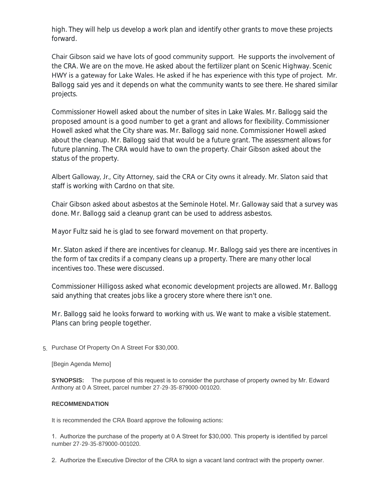high. They will help us develop a work plan and identify other grants to move these projects forward.

Chair Gibson said we have lots of good community support. He supports the involvement of the CRA. We are on the move. He asked about the fertilizer plant on Scenic Highway. Scenic HWY is a gateway for Lake Wales. He asked if he has experience with this type of project. Mr. Ballogg said yes and it depends on what the community wants to see there. He shared similar projects.

Commissioner Howell asked about the number of sites in Lake Wales. Mr. Ballogg said the proposed amount is a good number to get a grant and allows for flexibility. Commissioner Howell asked what the City share was. Mr. Ballogg said none. Commissioner Howell asked about the cleanup. Mr. Ballogg said that would be a future grant. The assessment allows for future planning. The CRA would have to own the property. Chair Gibson asked about the status of the property.

Albert Galloway, Jr., City Attorney, said the CRA or City owns it already. Mr. Slaton said that staff is working with Cardno on that site.

Chair Gibson asked about asbestos at the Seminole Hotel. Mr. Galloway said that a survey was done. Mr. Ballogg said a cleanup grant can be used to address asbestos.

Mayor Fultz said he is glad to see forward movement on that property.

Mr. Slaton asked if there are incentives for cleanup. Mr. Ballogg said yes there are incentives in the form of tax credits if a company cleans up a property. There are many other local incentives too. These were discussed.

Commissioner Hilligoss asked what economic development projects are allowed. Mr. Ballogg said anything that creates jobs like a grocery store where there isn't one.

Mr. Ballogg said he looks forward to working with us. We want to make a visible statement. Plans can bring people together.

5. Purchase Of Property On A Street For \$30,000.

[Begin Agenda Memo]

**SYNOPSIS:** The purpose of this request is to consider the purchase of property owned by Mr. Edward Anthony at 0 A Street, parcel number 27-29-35-879000-001020.

# **RECOMMENDATION**

It is recommended the CRA Board approve the following actions:

1. Authorize the purchase of the property at 0 A Street for \$30,000. This property is identified by parcel number 27-29-35-879000-001020.

2. Authorize the Executive Director of the CRA to sign a vacant land contract with the property owner.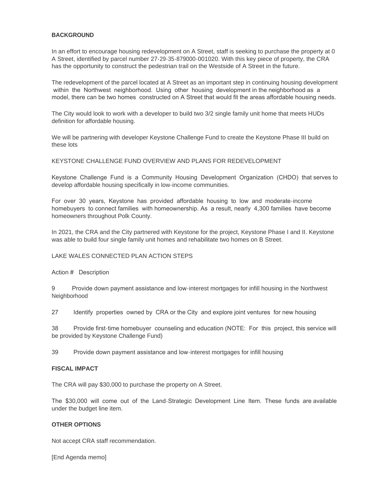### **BACKGROUND**

In an effort to encourage housing redevelopment on A Street, staff is seeking to purchase the property at 0 A Street, identified by parcel number 27-29-35-879000-001020. With this key piece of property, the CRA has the opportunity to construct the pedestrian trail on the Westside of A Street in the future.

The redevelopment of the parcel located at A Street as an important step in continuing housing development within the Northwest neighborhood. Using other housing development in the neighborhood as a model, there can be two homes constructed on A Street that would fit the areas affordable housing needs.

The City would look to work with a developer to build two 3/2 single family unit home that meets HUDs definition for affordable housing.

We will be partnering with developer Keystone Challenge Fund to create the Keystone Phase III build on these lots

KEYSTONE CHALLENGE FUND OVERVIEW AND PLANS FOR REDEVELOPMENT

Keystone Challenge Fund is a Community Housing Development Organization (CHDO) that serves to develop affordable housing specifically in low-income communities.

For over 30 years, Keystone has provided affordable housing to low and moderate-income homebuyers to connect families with homeownership. As a result, nearly 4,300 families have become homeowners throughout Polk County.

In 2021, the CRA and the City partnered with Keystone for the project, Keystone Phase I and II. Keystone was able to build four single family unit homes and rehabilitate two homes on B Street.

## LAKE WALES CONNECTED PLAN ACTION STEPS

Action # Description

9 Provide down payment assistance and low-interest mortgages for infill housing in the Northwest Neighborhood

27 Identify properties owned by CRA or the City and explore joint ventures for new housing

38 Provide first-time homebuyer counseling and education (NOTE: For this project, this service will be provided by Keystone Challenge Fund)

39 Provide down payment assistance and low-interest mortgages for infill housing

#### **FISCAL IMPACT**

The CRA will pay \$30,000 to purchase the property on A Street.

The \$30,000 will come out of the Land-Strategic Development Line Item. These funds are available under the budget line item.

#### **OTHER OPTIONS**

Not accept CRA staff recommendation.

[End Agenda memo]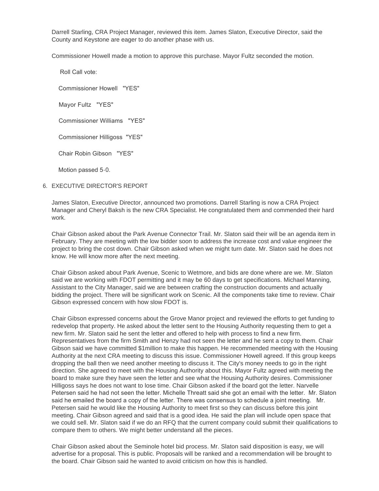Darrell Starling, CRA Project Manager, reviewed this item. James Slaton, Executive Director, said the County and Keystone are eager to do another phase with us.

Commissioner Howell made a motion to approve this purchase. Mayor Fultz seconded the motion.

Roll Call vote:

Commissioner Howell "YES"

Mayor Fultz "YES"

Commissioner Williams "YES"

Commissioner Hilligoss "YES"

Chair Robin Gibson "YES"

Motion passed 5-0.

#### 6. EXECUTIVE DIRECTOR'S REPORT

James Slaton, Executive Director, announced two promotions. Darrell Starling is now a CRA Project Manager and Cheryl Baksh is the new CRA Specialist. He congratulated them and commended their hard work.

Chair Gibson asked about the Park Avenue Connector Trail. Mr. Slaton said their will be an agenda item in February. They are meeting with the low bidder soon to address the increase cost and value engineer the project to bring the cost down. Chair Gibson asked when we might turn date. Mr. Slaton said he does not know. He will know more after the next meeting.

Chair Gibson asked about Park Avenue, Scenic to Wetmore, and bids are done where are we. Mr. Slaton said we are working with FDOT permitting and it may be 60 days to get specifications. Michael Manning, Assistant to the City Manager, said we are between crafting the construction documents and actually bidding the project. There will be significant work on Scenic. All the components take time to review. Chair Gibson expressed concern with how slow FDOT is.

Chair Gibson expressed concerns about the Grove Manor project and reviewed the efforts to get funding to redevelop that property. He asked about the letter sent to the Housing Authority requesting them to get a new firm. Mr. Slaton said he sent the letter and offered to help with process to find a new firm. Representatives from the firm Smith and Henzy had not seen the letter and he sent a copy to them. Chair Gibson said we have committed \$1million to make this happen. He recommended meeting with the Housing Authority at the next CRA meeting to discuss this issue. Commissioner Howell agreed. If this group keeps dropping the ball then we need another meeting to discuss it. The City's money needs to go in the right direction. She agreed to meet with the Housing Authority about this. Mayor Fultz agreed with meeting the board to make sure they have seen the letter and see what the Housing Authority desires. Commissioner Hilligoss says he does not want to lose time. Chair Gibson asked if the board got the letter. Narvelle Petersen said he had not seen the letter. Michelle Threatt said she got an email with the letter. Mr. Slaton said he emailed the board a copy of the letter. There was consensus to schedule a joint meeting. Mr. Petersen said he would like the Housing Authority to meet first so they can discuss before this joint meeting. Chair Gibson agreed and said that is a good idea. He said the plan will include open space that we could sell. Mr. Slaton said if we do an RFQ that the current company could submit their qualifications to compare them to others. We might better understand all the pieces.

Chair Gibson asked about the Seminole hotel bid process. Mr. Slaton said disposition is easy, we will advertise for a proposal. This is public. Proposals will be ranked and a recommendation will be brought to the board. Chair Gibson said he wanted to avoid criticism on how this is handled.